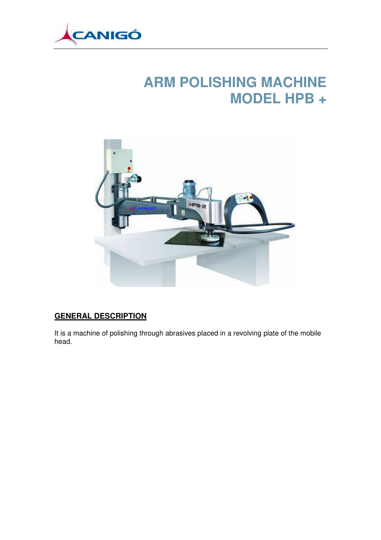

## **ARM POLISHING MACHINE MODEL HPB +**



## **GENERAL DESCRIPTION**

It is a machine of polishing through abrasives placed in a revolving plate of the mobile head.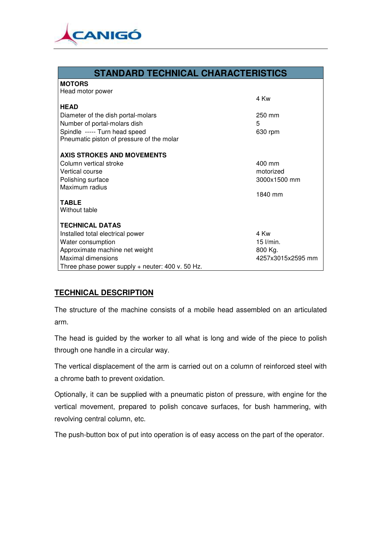

| <b>STANDARD TECHNICAL CHARACTERISTICS</b>        |                   |
|--------------------------------------------------|-------------------|
| <b>MOTORS</b>                                    |                   |
| Head motor power                                 |                   |
|                                                  | 4 Kw              |
| <b>HEAD</b>                                      |                   |
| Diameter of the dish portal-molars               | $250 \text{ mm}$  |
| Number of portal-molars dish                     | 5                 |
| Spindle ----- Turn head speed                    | 630 rpm           |
| Pneumatic piston of pressure of the molar        |                   |
| AXIS STROKES AND MOVEMENTS                       |                   |
| Column vertical stroke                           | $400 \text{ mm}$  |
| Vertical course                                  | motorized         |
| Polishing surface                                | 3000x1500 mm      |
| Maximum radius                                   |                   |
|                                                  | 1840 mm           |
| <b>TABLE</b>                                     |                   |
| Without table                                    |                   |
|                                                  |                   |
| <b>TECHNICAL DATAS</b>                           |                   |
| Installed total electrical power                 | 4 Kw              |
| Water consumption                                | $15$ $l/min$ .    |
| Approximate machine net weight                   | 800 Kg.           |
| <b>Maximal dimensions</b>                        | 4257x3015x2595 mm |
| Three phase power supply + neuter: 400 v. 50 Hz. |                   |

## **TECHNICAL DESCRIPTION**

The structure of the machine consists of a mobile head assembled on an articulated arm.

The head is guided by the worker to all what is long and wide of the piece to polish through one handle in a circular way.

The vertical displacement of the arm is carried out on a column of reinforced steel with a chrome bath to prevent oxidation.

Optionally, it can be supplied with a pneumatic piston of pressure, with engine for the vertical movement, prepared to polish concave surfaces, for bush hammering, with revolving central column, etc.

The push-button box of put into operation is of easy access on the part of the operator.